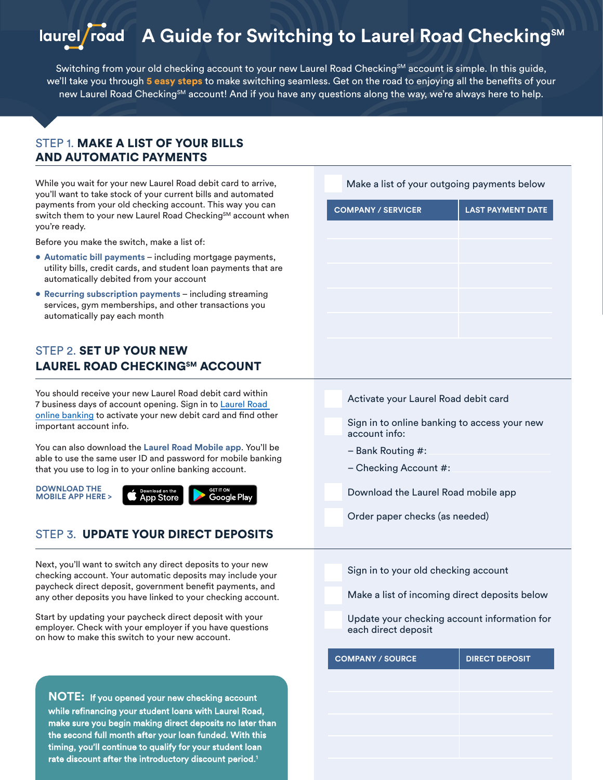# laurel/road A Guide for Switching to Laurel Road Checking<sup>SM</sup>

Switching from your old checking account to your new Laurel Road Checking<sup>SM</sup> account is simple. In this guide, we'll take you through 5 easy steps to make switching seamless. Get on the road to enjoying all the benefits of your new Laurel Road Checking<sup>sM</sup> account! And if you have any questions along the way, we're always here to help.

#### STEP 1. MAKE A LIST OF YOUR BILLS AND AUTOMATIC PAYMENTS

While you wait for your new Laurel Road debit card to arrive, you'll want to take stock of your current bills and automated payments from your old checking account. This way you can switch them to your new Laurel Road Checking<sup>SM</sup> account when you're ready.

Before you make the switch, make a list of:

- **• Automatic bill payments** including mortgage payments, utility bills, credit cards, and student loan payments that are automatically debited from your account
- **• Recurring subscription payments** including streaming services, gym memberships, and other transactions you automatically pay each month

## STEP 2. SET UP YOUR NEW LAUREL ROAD CHECKINGSM ACCOUNT

You should receive your new Laurel Road debit card within 7 business days of account opening. Sign in to [Laurel Road](https://laurelroad.key.com/ibxolb/login/index.html#/login)  [online banking](https://laurelroad.key.com/ibxolb/login/index.html#/login) to activate your new debit card and find other important account info.

You can also download the **Laurel Road Mobile app**. You'll be able to use the same user ID and password for mobile banking that you use to log in to your online banking account.

**DOWNLOAD THE MOBILE APP HERE >** 



#### STEP 3. UPDATE YOUR DIRECT DEPOSITS

Next, you'll want to switch any direct deposits to your new checking account. Your automatic deposits may include your paycheck direct deposit, government benefit payments, and any other deposits you have linked to your checking account.

Start by updating your paycheck direct deposit with your employer. Check with your employer if you have questions on how to make this switch to your new account.

**NOTE:** If you opened your new checking account while refinancing your student loans with Laurel Road, make sure you begin making direct deposits no later than the second full month after your loan funded. With this timing, you'll continue to qualify for your student loan rate discount after the introductory discount perio[d.](#page-1-0)<sup>1</sup>

| <b>COMPANY / SERVICER</b>                                     | <b>LAST PAYMENT DATE</b> |  |
|---------------------------------------------------------------|--------------------------|--|
|                                                               |                          |  |
|                                                               |                          |  |
|                                                               |                          |  |
|                                                               |                          |  |
|                                                               |                          |  |
|                                                               |                          |  |
|                                                               |                          |  |
|                                                               |                          |  |
| Activate your Laurel Road debit card                          |                          |  |
| Sign in to online banking to access your new<br>account info: |                          |  |
| - Bank Routing #:                                             |                          |  |
| – Checking Account #:                                         |                          |  |

Download the Laurel Road mobile app

Order paper checks (as needed)

Sign in to your old checking account

Make a list of incoming direct deposits below

Update your checking account information for each direct deposit

| <b>COMPANY / SOURCE</b> | <b>DIRECT DEPOSIT</b> |
|-------------------------|-----------------------|
|                         |                       |
|                         |                       |
|                         |                       |
|                         |                       |